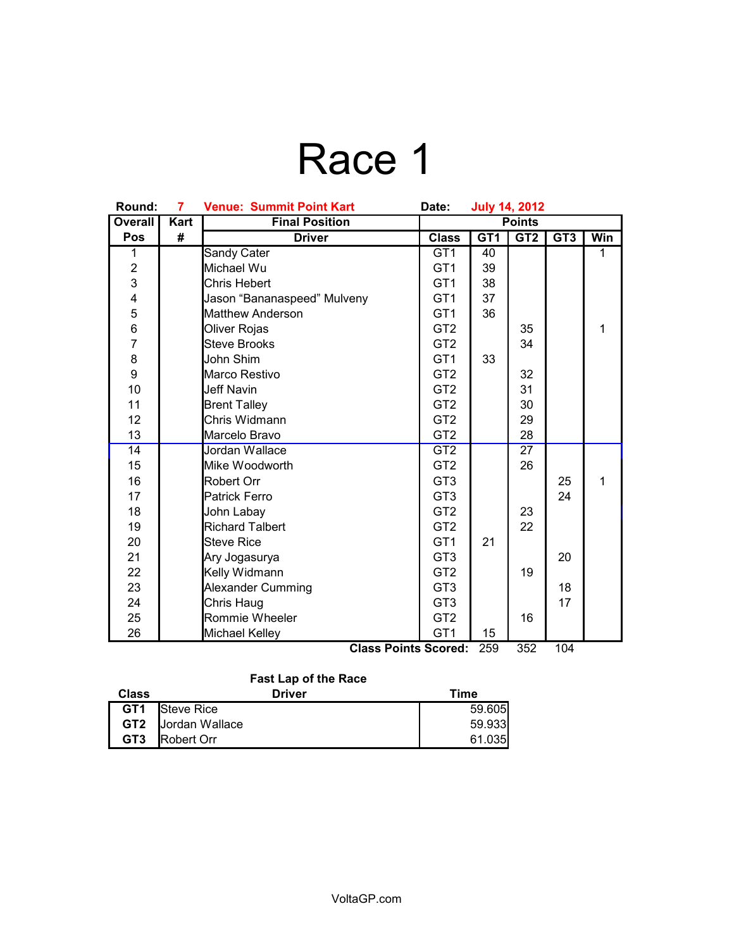## Race 1

| <b>Final Position</b><br><b>Points</b><br><b>Overall</b><br>Kart<br>Win<br>GT2<br><b>Class</b><br>GT <sub>1</sub><br>GT <sub>3</sub><br>#<br><b>Driver</b><br>Pos<br><b>Sandy Cater</b><br>GT <sub>1</sub><br>1<br>40<br>1<br>$\overline{2}$<br>Michael Wu<br>GT <sub>1</sub><br>39<br>3<br>GT <sub>1</sub><br>38<br><b>Chris Hebert</b><br>$\overline{\mathbf{4}}$<br>37<br>Jason "Bananaspeed" Mulveny<br>GT <sub>1</sub><br>5<br>36<br><b>Matthew Anderson</b><br>GT <sub>1</sub><br>6<br>GT <sub>2</sub><br>Oliver Rojas<br>35<br>1<br>$\overline{7}$<br><b>Steve Brooks</b><br>GT <sub>2</sub><br>34<br>8<br>John Shim<br>GT <sub>1</sub><br>33<br>9<br>GT <sub>2</sub><br>Marco Restivo<br>32<br>10<br>31<br><b>Jeff Navin</b><br>GT <sub>2</sub><br>11<br><b>Brent Talley</b><br>GT <sub>2</sub><br>30<br>12<br>GT <sub>2</sub><br>Chris Widmann<br>29<br>13<br>GT <sub>2</sub><br>28<br>Marcelo Bravo<br>14<br>$\overline{27}$<br>Jordan Wallace<br>GT <sub>2</sub><br>15<br>Mike Woodworth<br>GT <sub>2</sub><br>26<br>16<br>GT <sub>3</sub><br>Robert Orr<br>25<br>1<br>17<br>GT <sub>3</sub><br>24<br><b>Patrick Ferro</b><br>18<br>GT <sub>2</sub><br>John Labay<br>23<br>19<br>GT <sub>2</sub><br><b>Richard Talbert</b><br>22<br>21<br>20<br><b>Steve Rice</b><br>GT <sub>1</sub><br>21<br>GT <sub>3</sub><br>Ary Jogasurya<br>20<br>22<br>Kelly Widmann<br>GT <sub>2</sub><br>19<br>23<br>GT <sub>3</sub><br><b>Alexander Cumming</b><br>18<br>24<br>17<br>Chris Haug<br>GT <sub>3</sub><br>25<br>Rommie Wheeler<br>GT <sub>2</sub><br>16<br>26<br>GT <sub>1</sub><br>Michael Kelley<br>15<br>$\overline{250}$<br>Close Deinte Cooredi<br>oro<br>404 | Round: | $\overline{7}$ | <b>Venue: Summit Point Kart</b> | Date: |  | <b>July 14, 2012</b> |  |  |
|---------------------------------------------------------------------------------------------------------------------------------------------------------------------------------------------------------------------------------------------------------------------------------------------------------------------------------------------------------------------------------------------------------------------------------------------------------------------------------------------------------------------------------------------------------------------------------------------------------------------------------------------------------------------------------------------------------------------------------------------------------------------------------------------------------------------------------------------------------------------------------------------------------------------------------------------------------------------------------------------------------------------------------------------------------------------------------------------------------------------------------------------------------------------------------------------------------------------------------------------------------------------------------------------------------------------------------------------------------------------------------------------------------------------------------------------------------------------------------------------------------------------------------------------------------------------------------------------------------------------------------------------------------------------|--------|----------------|---------------------------------|-------|--|----------------------|--|--|
|                                                                                                                                                                                                                                                                                                                                                                                                                                                                                                                                                                                                                                                                                                                                                                                                                                                                                                                                                                                                                                                                                                                                                                                                                                                                                                                                                                                                                                                                                                                                                                                                                                                                     |        |                |                                 |       |  |                      |  |  |
|                                                                                                                                                                                                                                                                                                                                                                                                                                                                                                                                                                                                                                                                                                                                                                                                                                                                                                                                                                                                                                                                                                                                                                                                                                                                                                                                                                                                                                                                                                                                                                                                                                                                     |        |                |                                 |       |  |                      |  |  |
|                                                                                                                                                                                                                                                                                                                                                                                                                                                                                                                                                                                                                                                                                                                                                                                                                                                                                                                                                                                                                                                                                                                                                                                                                                                                                                                                                                                                                                                                                                                                                                                                                                                                     |        |                |                                 |       |  |                      |  |  |
|                                                                                                                                                                                                                                                                                                                                                                                                                                                                                                                                                                                                                                                                                                                                                                                                                                                                                                                                                                                                                                                                                                                                                                                                                                                                                                                                                                                                                                                                                                                                                                                                                                                                     |        |                |                                 |       |  |                      |  |  |
|                                                                                                                                                                                                                                                                                                                                                                                                                                                                                                                                                                                                                                                                                                                                                                                                                                                                                                                                                                                                                                                                                                                                                                                                                                                                                                                                                                                                                                                                                                                                                                                                                                                                     |        |                |                                 |       |  |                      |  |  |
|                                                                                                                                                                                                                                                                                                                                                                                                                                                                                                                                                                                                                                                                                                                                                                                                                                                                                                                                                                                                                                                                                                                                                                                                                                                                                                                                                                                                                                                                                                                                                                                                                                                                     |        |                |                                 |       |  |                      |  |  |
|                                                                                                                                                                                                                                                                                                                                                                                                                                                                                                                                                                                                                                                                                                                                                                                                                                                                                                                                                                                                                                                                                                                                                                                                                                                                                                                                                                                                                                                                                                                                                                                                                                                                     |        |                |                                 |       |  |                      |  |  |
|                                                                                                                                                                                                                                                                                                                                                                                                                                                                                                                                                                                                                                                                                                                                                                                                                                                                                                                                                                                                                                                                                                                                                                                                                                                                                                                                                                                                                                                                                                                                                                                                                                                                     |        |                |                                 |       |  |                      |  |  |
|                                                                                                                                                                                                                                                                                                                                                                                                                                                                                                                                                                                                                                                                                                                                                                                                                                                                                                                                                                                                                                                                                                                                                                                                                                                                                                                                                                                                                                                                                                                                                                                                                                                                     |        |                |                                 |       |  |                      |  |  |
|                                                                                                                                                                                                                                                                                                                                                                                                                                                                                                                                                                                                                                                                                                                                                                                                                                                                                                                                                                                                                                                                                                                                                                                                                                                                                                                                                                                                                                                                                                                                                                                                                                                                     |        |                |                                 |       |  |                      |  |  |
|                                                                                                                                                                                                                                                                                                                                                                                                                                                                                                                                                                                                                                                                                                                                                                                                                                                                                                                                                                                                                                                                                                                                                                                                                                                                                                                                                                                                                                                                                                                                                                                                                                                                     |        |                |                                 |       |  |                      |  |  |
|                                                                                                                                                                                                                                                                                                                                                                                                                                                                                                                                                                                                                                                                                                                                                                                                                                                                                                                                                                                                                                                                                                                                                                                                                                                                                                                                                                                                                                                                                                                                                                                                                                                                     |        |                |                                 |       |  |                      |  |  |
|                                                                                                                                                                                                                                                                                                                                                                                                                                                                                                                                                                                                                                                                                                                                                                                                                                                                                                                                                                                                                                                                                                                                                                                                                                                                                                                                                                                                                                                                                                                                                                                                                                                                     |        |                |                                 |       |  |                      |  |  |
|                                                                                                                                                                                                                                                                                                                                                                                                                                                                                                                                                                                                                                                                                                                                                                                                                                                                                                                                                                                                                                                                                                                                                                                                                                                                                                                                                                                                                                                                                                                                                                                                                                                                     |        |                |                                 |       |  |                      |  |  |
|                                                                                                                                                                                                                                                                                                                                                                                                                                                                                                                                                                                                                                                                                                                                                                                                                                                                                                                                                                                                                                                                                                                                                                                                                                                                                                                                                                                                                                                                                                                                                                                                                                                                     |        |                |                                 |       |  |                      |  |  |
|                                                                                                                                                                                                                                                                                                                                                                                                                                                                                                                                                                                                                                                                                                                                                                                                                                                                                                                                                                                                                                                                                                                                                                                                                                                                                                                                                                                                                                                                                                                                                                                                                                                                     |        |                |                                 |       |  |                      |  |  |
|                                                                                                                                                                                                                                                                                                                                                                                                                                                                                                                                                                                                                                                                                                                                                                                                                                                                                                                                                                                                                                                                                                                                                                                                                                                                                                                                                                                                                                                                                                                                                                                                                                                                     |        |                |                                 |       |  |                      |  |  |
|                                                                                                                                                                                                                                                                                                                                                                                                                                                                                                                                                                                                                                                                                                                                                                                                                                                                                                                                                                                                                                                                                                                                                                                                                                                                                                                                                                                                                                                                                                                                                                                                                                                                     |        |                |                                 |       |  |                      |  |  |
|                                                                                                                                                                                                                                                                                                                                                                                                                                                                                                                                                                                                                                                                                                                                                                                                                                                                                                                                                                                                                                                                                                                                                                                                                                                                                                                                                                                                                                                                                                                                                                                                                                                                     |        |                |                                 |       |  |                      |  |  |
|                                                                                                                                                                                                                                                                                                                                                                                                                                                                                                                                                                                                                                                                                                                                                                                                                                                                                                                                                                                                                                                                                                                                                                                                                                                                                                                                                                                                                                                                                                                                                                                                                                                                     |        |                |                                 |       |  |                      |  |  |
|                                                                                                                                                                                                                                                                                                                                                                                                                                                                                                                                                                                                                                                                                                                                                                                                                                                                                                                                                                                                                                                                                                                                                                                                                                                                                                                                                                                                                                                                                                                                                                                                                                                                     |        |                |                                 |       |  |                      |  |  |
|                                                                                                                                                                                                                                                                                                                                                                                                                                                                                                                                                                                                                                                                                                                                                                                                                                                                                                                                                                                                                                                                                                                                                                                                                                                                                                                                                                                                                                                                                                                                                                                                                                                                     |        |                |                                 |       |  |                      |  |  |
|                                                                                                                                                                                                                                                                                                                                                                                                                                                                                                                                                                                                                                                                                                                                                                                                                                                                                                                                                                                                                                                                                                                                                                                                                                                                                                                                                                                                                                                                                                                                                                                                                                                                     |        |                |                                 |       |  |                      |  |  |
|                                                                                                                                                                                                                                                                                                                                                                                                                                                                                                                                                                                                                                                                                                                                                                                                                                                                                                                                                                                                                                                                                                                                                                                                                                                                                                                                                                                                                                                                                                                                                                                                                                                                     |        |                |                                 |       |  |                      |  |  |
|                                                                                                                                                                                                                                                                                                                                                                                                                                                                                                                                                                                                                                                                                                                                                                                                                                                                                                                                                                                                                                                                                                                                                                                                                                                                                                                                                                                                                                                                                                                                                                                                                                                                     |        |                |                                 |       |  |                      |  |  |
|                                                                                                                                                                                                                                                                                                                                                                                                                                                                                                                                                                                                                                                                                                                                                                                                                                                                                                                                                                                                                                                                                                                                                                                                                                                                                                                                                                                                                                                                                                                                                                                                                                                                     |        |                |                                 |       |  |                      |  |  |
|                                                                                                                                                                                                                                                                                                                                                                                                                                                                                                                                                                                                                                                                                                                                                                                                                                                                                                                                                                                                                                                                                                                                                                                                                                                                                                                                                                                                                                                                                                                                                                                                                                                                     |        |                |                                 |       |  |                      |  |  |
|                                                                                                                                                                                                                                                                                                                                                                                                                                                                                                                                                                                                                                                                                                                                                                                                                                                                                                                                                                                                                                                                                                                                                                                                                                                                                                                                                                                                                                                                                                                                                                                                                                                                     |        |                |                                 |       |  |                      |  |  |

**Class Points Scored:** 259 352 104

### **Fast Lap of the Race**

| <b>Class</b>    | Driver             | Time   |  |  |
|-----------------|--------------------|--------|--|--|
| GT <sub>1</sub> | Steve Rice         | 59.605 |  |  |
| GT2             | Jordan Wallace     | 59.933 |  |  |
| GT <sub>3</sub> | <b>IRobert Orr</b> | 61.035 |  |  |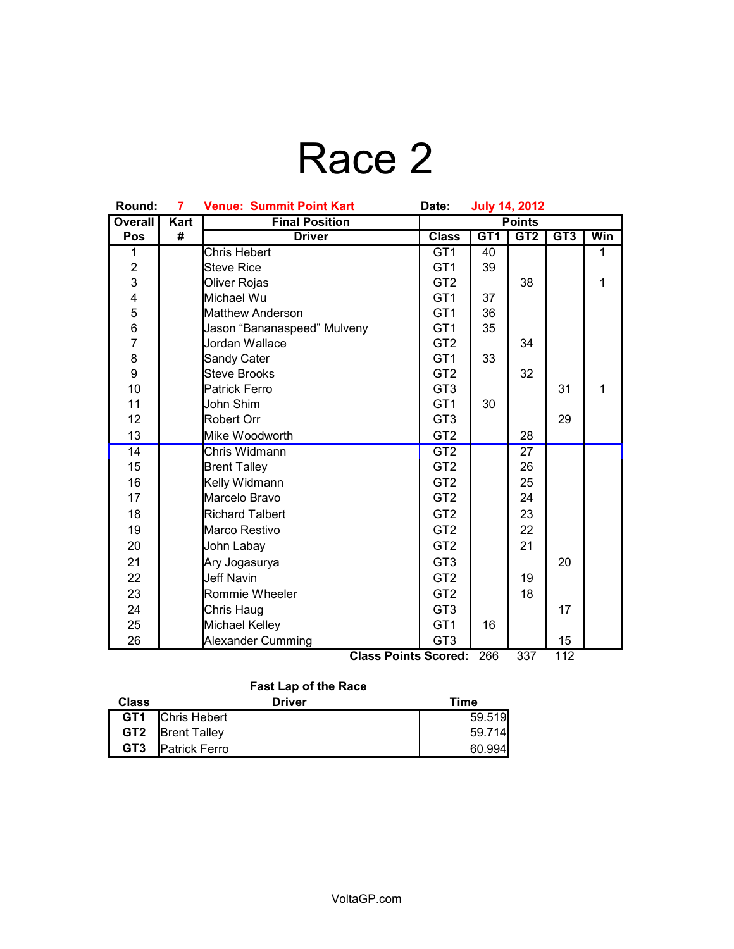# Race 2

| Round:                  | $\overline{7}$ | <b>Venue: Summit Point Kart</b> | Date:<br><b>July 14, 2012</b> |        |        |                |     |
|-------------------------|----------------|---------------------------------|-------------------------------|--------|--------|----------------|-----|
| <b>Overall</b>          | Kart           | <b>Final Position</b>           | <b>Points</b>                 |        |        |                |     |
| Pos                     | #              | <b>Driver</b>                   | <b>Class</b>                  | GT1    | GT2    | GT3            | Win |
| 1                       |                | Chris Hebert                    | GT <sub>1</sub>               | 40     |        |                | 1   |
| $\overline{2}$          |                | <b>Steve Rice</b>               | GT <sub>1</sub>               | 39     |        |                |     |
| 3                       |                | Oliver Rojas                    | GT <sub>2</sub>               |        | 38     |                | 1   |
| $\overline{\mathbf{4}}$ |                | Michael Wu                      | GT <sub>1</sub>               | 37     |        |                |     |
| 5                       |                | <b>Matthew Anderson</b>         | GT <sub>1</sub>               | 36     |        |                |     |
| $\frac{6}{7}$           |                | Jason "Bananaspeed" Mulveny     | GT <sub>1</sub>               | 35     |        |                |     |
|                         |                | Jordan Wallace                  | GT <sub>2</sub>               |        | 34     |                |     |
| 8                       |                | Sandy Cater                     | GT <sub>1</sub>               | 33     |        |                |     |
| 9                       |                | <b>Steve Brooks</b>             | GT <sub>2</sub>               |        | 32     |                |     |
| 10                      |                | Patrick Ferro                   | GT <sub>3</sub>               |        |        | 31             | 1   |
| 11                      |                | John Shim                       | GT <sub>1</sub>               | 30     |        |                |     |
| 12                      |                | Robert Orr                      | GT <sub>3</sub>               |        |        | 29             |     |
| 13                      |                | Mike Woodworth                  | GT <sub>2</sub>               |        | 28     |                |     |
| 14                      |                | Chris Widmann                   | GT <sub>2</sub>               |        | 27     |                |     |
| 15                      |                | <b>Brent Talley</b>             | GT <sub>2</sub>               |        | 26     |                |     |
| 16                      |                | Kelly Widmann                   | GT <sub>2</sub>               |        | 25     |                |     |
| 17                      |                | Marcelo Bravo                   | GT <sub>2</sub>               |        | 24     |                |     |
| 18                      |                | <b>Richard Talbert</b>          | GT <sub>2</sub>               |        | 23     |                |     |
| 19                      |                | Marco Restivo                   | GT <sub>2</sub>               |        | 22     |                |     |
| 20                      |                | John Labay                      | GT <sub>2</sub>               |        | 21     |                |     |
| 21                      |                | Ary Jogasurya                   | GT <sub>3</sub>               |        |        | 20             |     |
| 22                      |                | <b>Jeff Navin</b>               | GT <sub>2</sub>               |        | 19     |                |     |
| 23                      |                | Rommie Wheeler                  | GT <sub>2</sub>               |        | 18     |                |     |
| 24                      |                | Chris Haug                      | GT <sub>3</sub>               |        |        | 17             |     |
| 25                      |                | Michael Kelley                  | GT <sub>1</sub>               | 16     |        |                |     |
| 26                      |                | Alexander Cumming               | GT <sub>3</sub>               |        |        | 15             |     |
|                         |                | $\sim$<br>n.                    |                               | $\sim$ | $\sim$ | $\overline{A}$ |     |

### **Class Points Scored:** 266 337 112

#### **Fast Lap of the Race**

| <b>Class</b>    | Driver                  | Time   |
|-----------------|-------------------------|--------|
| GT1             | Chris Hebert            | 59.519 |
|                 | <b>GT2 Brent Talley</b> | 59.714 |
| GT <sub>3</sub> | <b>Patrick Ferro</b>    | 60.994 |